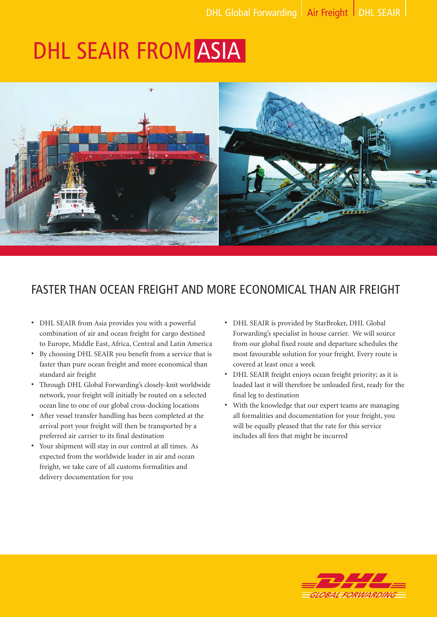# DHL SEAIR FROM ASIA



# FASTER THAN OCEAN FREIGHT AND MORE ECONOMICAL THAN AIR FREIGHT

- DHL SEAIR from Asia provides you with a powerful combination of air and ocean freight for cargo destined to Europe, Middle East, Africa, Central and Latin America
- By choosing DHL SEAIR you benefit from a service that is faster than pure ocean freight and more economical than standard air freight
- Through DHL Global Forwarding's closely-knit worldwide network, your freight will initially be routed on a selected ocean line to one of our global cross-docking locations
- After vessel transfer handling has been completed at the arrival port your freight will then be transported by a preferred air carrier to its final destination
- Your shipment will stay in our control at all times. As expected from the worldwide leader in air and ocean freight, we take care of all customs formalities and delivery documentation for you
- DHL SEAIR is provided by StarBroker, DHL Global Forwarding's specialist in house carrier. We will source from our global fixed route and departure schedules the most favourable solution for your freight. Every route is covered at least once a week
- DHL SEAIR freight enjoys ocean freight priority; as it is loaded last it will therefore be unloaded first, ready for the final leg to destination
- With the knowledge that our expert teams are managing all formalities and documentation for your freight, you will be equally pleased that the rate for this service includes all fees that might be incurred